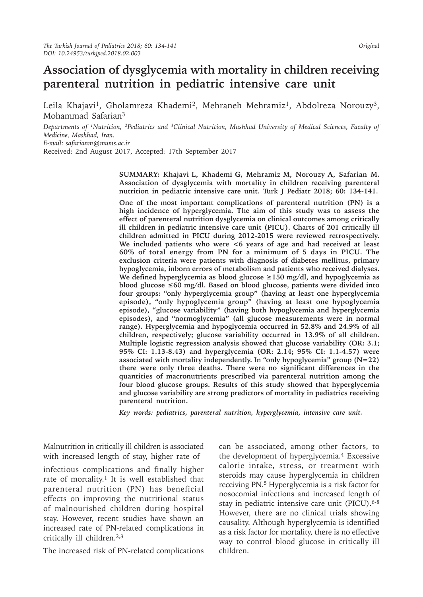# **Association of dysglycemia with mortality in children receiving parenteral nutrition in pediatric intensive care unit**

Leila Khajavi<sup>1</sup>, Gholamreza Khademi<sup>2</sup>, Mehraneh Mehramiz<sup>1</sup>, Abdolreza Norouzy<sup>3</sup>, Mohammad Safarian3

*Departments of 1Nutrition, 2Pediatrics and 3Clinical Nutrition, Mashhad University of Medical Sciences, Faculty of Medicine, Mashhad, Iran. E-mail: safarianm@mums.ac.ir*

Received: 2nd August 2017, Accepted: 17th September 2017

**SUMMARY: Khajavi L, Khademi G, Mehramiz M, Norouzy A, Safarian M. Association of dysglycemia with mortality in children receiving parenteral nutrition in pediatric intensive care unit. Turk J Pediatr 2018; 60: 134-141.**

**One of the most important complications of parenteral nutrition (PN) is a high incidence of hyperglycemia. The aim of this study was to assess the effect of parenteral nutrition dysglycemia on clinical outcomes among critically ill children in pediatric intensive care unit (PICU). Charts of 201 critically ill children admitted in PICU during 2012-2015 were reviewed retrospectively. We included patients who were <6 years of age and had received at least 60% of total energy from PN for a minimum of 5 days in PICU. The exclusion criteria were patients with diagnosis of diabetes mellitus, primary hypoglycemia, inborn errors of metabolism and patients who received dialyses. We defined hyperglycemia as blood glucose ≥150 mg/dl, and hypoglycemia as blood glucose ≤60 mg/dl. Based on blood glucose, patients were divided into four groups: "only hyperglycemia group" (having at least one hyperglycemia episode), "only hypoglycemia group" (having at least one hypoglycemia episode), "glucose variability" (having both hypoglycemia and hyperglycemia episodes), and "normoglycemia" (all glucose measurements were in normal range). Hyperglycemia and hypoglycemia occurred in 52.8% and 24.9% of all children, respectively; glucose variability occurred in 13.9% of all children. Multiple logistic regression analysis showed that glucose variability (OR: 3.1; 95% CI: 1.13-8.43) and hyperglycemia (OR: 2.14; 95% CI: 1.1-4.57) were associated with mortality independently. In "only hypoglycemia" group (N=22) there were only three deaths. There were no significant differences in the quantities of macronutrients prescribed via parenteral nutrition among the four blood glucose groups. Results of this study showed that hyperglycemia and glucose variability are strong predictors of mortality in pediatrics receiving parenteral nutrition.**

*Key words: pediatrics, parenteral nutrition, hyperglycemia, intensive care unit.*

Malnutrition in critically ill children is associated with increased length of stay, higher rate of

infectious complications and finally higher rate of mortality.<sup>1</sup> It is well established that parenteral nutrition (PN) has beneficial effects on improving the nutritional status of malnourished children during hospital stay. However, recent studies have shown an increased rate of PN-related complications in critically ill children.2,3

The increased risk of PN-related complications

can be associated, among other factors, to the development of hyperglycemia.4 Excessive calorie intake, stress, or treatment with steroids may cause hyperglycemia in children receiving PN.5 Hyperglycemia is a risk factor for nosocomial infections and increased length of stay in pediatric intensive care unit (PICU).<sup>6-8</sup> However, there are no clinical trials showing causality. Although hyperglycemia is identified as a risk factor for mortality, there is no effective way to control blood glucose in critically ill children.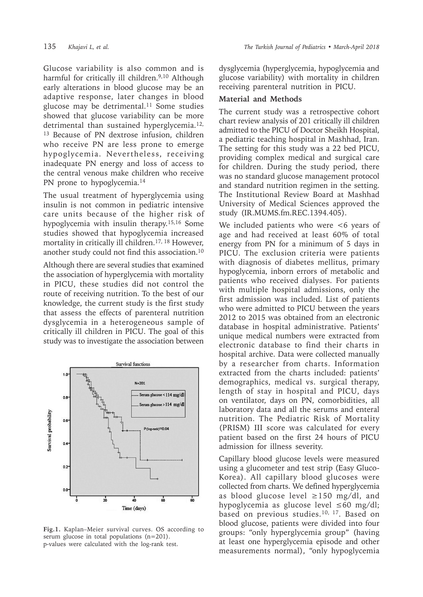Glucose variability is also common and is harmful for critically ill children.<sup>9,10</sup> Although early alterations in blood glucose may be an adaptive response, later changes in blood glucose may be detrimental.<sup>11</sup> Some studies showed that glucose variability can be more detrimental than sustained hyperglycemia.<sup>12,</sup> <sup>13</sup> Because of PN dextrose infusion, children who receive PN are less prone to emerge hypoglycemia. Nevertheless, receiving inadequate PN energy and loss of access to the central venous make children who receive PN prone to hypoglycemia.<sup>14</sup>

The usual treatment of hyperglycemia using insulin is not common in pediatric intensive care units because of the higher risk of hypoglycemia with insulin therapy.15,16 Some studies showed that hypoglycemia increased mortality in critically ill children.<sup>17, 18</sup> However, another study could not find this association.10

Although there are several studies that examined the association of hyperglycemia with mortality in PICU, these studies did not control the route of receiving nutrition. To the best of our knowledge, the current study is the first study that assess the effects of parenteral nutrition dysglycemia in a heterogeneous sample of critically ill children in PICU. The goal of this study was to investigate the association between



**Fig.1.** Kaplan–Meier survival curves. OS according to serum glucose in total populations (n=201). p-values were calculated with the log-rank test.

dysglycemia (hyperglycemia, hypoglycemia and glucose variability) with mortality in children receiving parenteral nutrition in PICU.

#### **Material and Methods**

The current study was a retrospective cohort chart review analysis of 201 critically ill children admitted to the PICU of Doctor Sheikh Hospital, a pediatric teaching hospital in Mashhad, Iran. The setting for this study was a 22 bed PICU, providing complex medical and surgical care for children. During the study period, there was no standard glucose management protocol and standard nutrition regimen in the setting. The Institutional Review Board at Mashhad University of Medical Sciences approved the study (IR.MUMS.fm.REC.1394.405).

We included patients who were  $\lt 6$  years of age and had received at least 60% of total energy from PN for a minimum of 5 days in PICU. The exclusion criteria were patients with diagnosis of diabetes mellitus, primary hypoglycemia, inborn errors of metabolic and patients who received dialyses. For patients with multiple hospital admissions, only the first admission was included. List of patients who were admitted to PICU between the years 2012 to 2015 was obtained from an electronic database in hospital administrative. Patients' unique medical numbers were extracted from electronic database to find their charts in hospital archive. Data were collected manually by a researcher from charts. Information extracted from the charts included: patients' demographics, medical vs. surgical therapy, length of stay in hospital and PICU, days on ventilator, days on PN, comorbidities, all laboratory data and all the serums and enteral nutrition. The Pediatric Risk of Mortality (PRISM) III score was calculated for every patient based on the first 24 hours of PICU admission for illness severity.

Capillary blood glucose levels were measured using a glucometer and test strip (Easy Gluco-Korea). All capillary blood glucoses were collected from charts. We defined hyperglycemia as blood glucose level  $\geq$ 150 mg/dl, and hypoglycemia as glucose level ≤60 mg/dl; based on previous studies.<sup>10, 17</sup>. Based on blood glucose, patients were divided into four groups: "only hyperglycemia group" (having at least one hyperglycemia episode and other measurements normal), "only hypoglycemia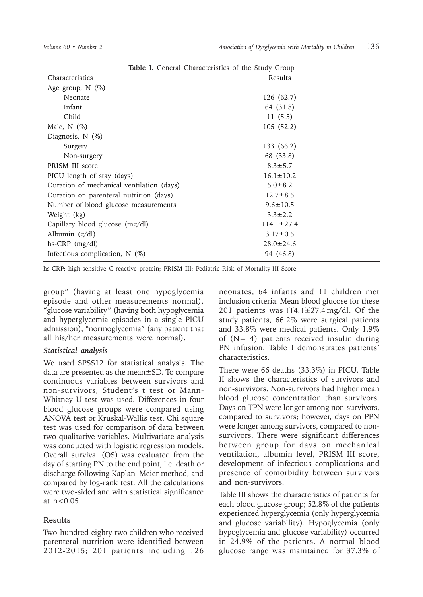| <b>Table 1.</b> General Characteristics of the Study Group |                  |  |  |  |
|------------------------------------------------------------|------------------|--|--|--|
| Characteristics                                            | Results          |  |  |  |
| Age group, $N$ $(\%)$                                      |                  |  |  |  |
| Neonate                                                    | 126 (62.7)       |  |  |  |
| Infant                                                     | 64 (31.8)        |  |  |  |
| Child                                                      | 11(5.5)          |  |  |  |
| Male, $N$ $(\%)$                                           | 105(52.2)        |  |  |  |
| Diagnosis, $N$ $(\%)$                                      |                  |  |  |  |
| Surgery                                                    | 133 (66.2)       |  |  |  |
| Non-surgery                                                | 68 (33.8)        |  |  |  |
| PRISM III score                                            | $8.3 \pm 5.7$    |  |  |  |
| PICU length of stay (days)                                 | $16.1 \pm 10.2$  |  |  |  |
| Duration of mechanical ventilation (days)                  | $5.0 \pm 8.2$    |  |  |  |
| Duration on parenteral nutrition (days)                    | $12.7 \pm 8.5$   |  |  |  |
| Number of blood glucose measurements                       | $9.6 \pm 10.5$   |  |  |  |
| Weight (kg)                                                | $3.3 \pm 2.2$    |  |  |  |
| Capillary blood glucose (mg/dl)                            | $114.1 \pm 27.4$ |  |  |  |
| Albumin (g/dl)                                             | $3.17 \pm 0.5$   |  |  |  |
| hs-CRP (mg/dl)                                             | $28.0 \pm 24.6$  |  |  |  |
| Infectious complication, $N$ (%)                           | 94 (46.8)        |  |  |  |

**Table I.** General Characteristics of the Study Group

hs-CRP: high-sensitive C-reactive protein; PRISM III: Pediatric Risk of Mortality-III Score

group" (having at least one hypoglycemia episode and other measurements normal), "glucose variability" (having both hypoglycemia and hyperglycemia episodes in a single PICU admission), "normoglycemia" (any patient that all his/her measurements were normal).

#### *Statistical analysis*

We used SPSS12 for statistical analysis. The data are presented as the mean±SD. To compare continuous variables between survivors and non-survivors, Student's t test or Mann-Whitney U test was used. Differences in four blood glucose groups were compared using ANOVA test or Kruskal-Wallis test. Chi square test was used for comparison of data between two qualitative variables. Multivariate analysis was conducted with logistic regression models. Overall survival (OS) was evaluated from the day of starting PN to the end point, i.e. death or discharge following Kaplan–Meier method, and compared by log-rank test. All the calculations were two-sided and with statistical significance at p<0.05.

## **Results**

Two-hundred-eighty-two children who received parenteral nutrition were identified between 2012-2015; 201 patients including 126 neonates, 64 infants and 11 children met inclusion criteria. Mean blood glucose for these 201 patients was  $114.1 \pm 27.4 \,\mathrm{mg}/\mathrm{dl}$ . Of the study patients, 66.2% were surgical patients and 33.8% were medical patients. Only 1.9% of  $(N= 4)$  patients received insulin during PN infusion. Table I demonstrates patients' characteristics.

There were 66 deaths (33.3%) in PICU. Table II shows the characteristics of survivors and non-survivors. Non-survivors had higher mean blood glucose concentration than survivors. Days on TPN were longer among non-survivors, compared to survivors; however, days on PPN were longer among survivors, compared to nonsurvivors. There were significant differences between group for days on mechanical ventilation, albumin level, PRISM III score, development of infectious complications and presence of comorbidity between survivors and non-survivors.

Table III shows the characteristics of patients for each blood glucose group; 52.8% of the patients experienced hyperglycemia (only hyperglycemia and glucose variability). Hypoglycemia (only hypoglycemia and glucose variability) occurred in 24.9% of the patients. A normal blood glucose range was maintained for 37.3% of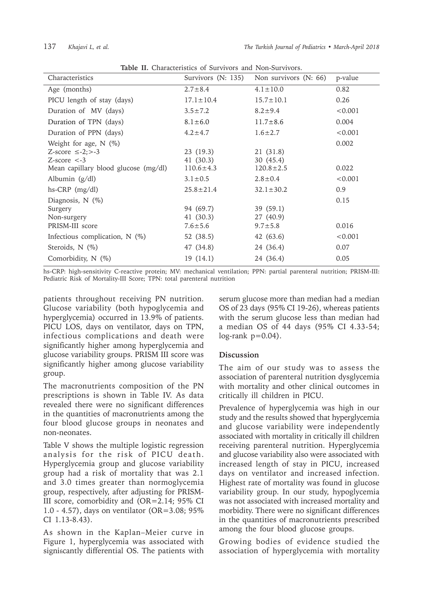| Table II. Characteristics of burvivors and indi-burvivors.        |                                         |                                        |               |  |  |
|-------------------------------------------------------------------|-----------------------------------------|----------------------------------------|---------------|--|--|
| Characteristics                                                   | Survivors (N: 135)                      | Non survivors $(N: 66)$                | p-value       |  |  |
| Age (months)                                                      | $2.7 \pm 8.4$                           | $4.1 \pm 10.0$                         | 0.82          |  |  |
| PICU length of stay (days)                                        | $17.1 \pm 10.4$                         | $15.7 \pm 10.1$                        | 0.26          |  |  |
| Duration of MV (days)                                             | $3.5 \pm 7.2$                           | $8.2 \pm 9.4$                          | < 0.001       |  |  |
| Duration of TPN (days)                                            | $8.1 \pm 6.0$                           | $11.7 \pm 8.6$                         | 0.004         |  |  |
| Duration of PPN (days)                                            | $4.2 \pm 4.7$                           | $1.6 \pm 2.7$                          | < 0.001       |  |  |
| Weight for age, $N$ (%)<br>Z-score $\le$ -2;>-3<br>$Z-score < -3$ | 23(19.3)<br>41 (30.3)                   | 21 (31.8)<br>30(45.4)                  | 0.002         |  |  |
| Mean capillary blood glucose (mg/dl)                              | $110.6 \pm 4.3$                         | $120.8 \pm 2.5$                        | 0.022         |  |  |
| Albumin $(g/dl)$                                                  | $3.1 \pm 0.5$                           | $2.8 \pm 0.4$                          | < 0.001       |  |  |
| $hs-CRP$ (mg/dl)                                                  | $25.8 \pm 21.4$                         | $32.1 \pm 30.2$                        | 0.9           |  |  |
| Diagnosis, $N$ (%)<br>Surgery<br>Non-surgery<br>PRISM-III score   | 94 (69.7)<br>41 (30.3)<br>$7.6 \pm 5.6$ | 39(59.1)<br>27 (40.9)<br>$9.7 \pm 5.8$ | 0.15<br>0.016 |  |  |
| Infectious complication, $N$ (%)                                  | 52 (38.5)                               | 42 (63.6)                              | < 0.001       |  |  |
| Steroids, $N$ (%)                                                 | 47 (34.8)                               | 24 (36.4)                              | 0.07          |  |  |
| Comorbidity, N (%)                                                | 19(14.1)                                | 24 (36.4)                              | 0.05          |  |  |

**Table II.** Characteristics of Survivors and Non-Survivors.

hs-CRP: high-sensitivity C-reactive protein; MV: mechanical ventilation; PPN: partial parenteral nutrition; PRISM-III: Pediatric Risk of Mortality-III Score; TPN: total parenteral nutrition

patients throughout receiving PN nutrition. Glucose variability (both hypoglycemia and hyperglycemia) occurred in 13.9% of patients. PICU LOS, days on ventilator, days on TPN, infectious complications and death were significantly higher among hyperglycemia and glucose variability groups. PRISM III score was significantly higher among glucose variability group.

The macronutrients composition of the PN prescriptions is shown in Table IV. As data revealed there were no significant differences in the quantities of macronutrients among the four blood glucose groups in neonates and non-neonates.

Table V shows the multiple logistic regression analysis for the risk of PICU death. Hyperglycemia group and glucose variability group had a risk of mortality that was 2.1 and 3.0 times greater than normoglycemia group, respectively, after adjusting for PRISM-III score, comorbidity and (OR=2.14; 95% CI 1.0 - 4.57), days on ventilator (OR=3.08; 95% CI 1.13-8.43).

As shown in the Kaplan–Meier curve in Figure 1, hyperglycemia was associated with significantly differential OS. The patients with

serum glucose more than median had a median OS of 23 days (95% CI 19-26), whereas patients with the serum glucose less than median had a median OS of 44 days (95% CI 4.33-54;  $log-rank$   $p=0.04$ ).

## **Discussion**

The aim of our study was to assess the association of parenteral nutrition dysglycemia with mortality and other clinical outcomes in critically ill children in PICU.

Prevalence of hyperglycemia was high in our study and the results showed that hyperglycemia and glucose variability were independently associated with mortality in critically ill children receiving parenteral nutrition. Hyperglycemia and glucose variability also were associated with increased length of stay in PICU, increased days on ventilator and increased infection. Highest rate of mortality was found in glucose variability group. In our study, hypoglycemia was not associated with increased mortality and morbidity. There were no significant differences in the quantities of macronutrients prescribed among the four blood glucose groups.

Growing bodies of evidence studied the association of hyperglycemia with mortality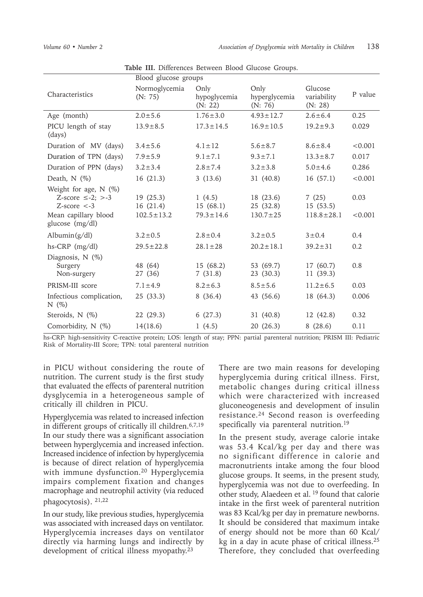|                                                                                                                   | Blood glucose groups                     |                                       |                                          |                                       |                 |
|-------------------------------------------------------------------------------------------------------------------|------------------------------------------|---------------------------------------|------------------------------------------|---------------------------------------|-----------------|
| Characteristics                                                                                                   | Normoglycemia<br>(N: 75)                 | Only<br>hypoglycemia<br>(N: 22)       | Only<br>hyperglycemia<br>(N: 76)         | Glucose<br>variability<br>(N: 28)     | P value         |
| Age (month)                                                                                                       | $2.0 \pm 5.6$                            | $1.76 \pm 3.0$                        | $4.93 \pm 12.7$                          | $2.6 \pm 6.4$                         | 0.25            |
| PICU length of stay<br>(days)                                                                                     | $13.9 \pm 8.5$                           | $17.3 \pm 14.5$                       | $16.9 \pm 10.5$                          | $19.2 \pm 9.3$                        | 0.029           |
| Duration of MV (days)                                                                                             | $3.4 \pm 5.6$                            | $4.1 \pm 12$                          | $5.6 \pm 8.7$                            | $8.6 \pm 8.4$                         | < 0.001         |
| Duration of TPN (days)                                                                                            | $7.9 \pm 5.9$                            | $9.1 \pm 7.1$                         | $9.3 \pm 7.1$                            | $13.3 \pm 8.7$                        | 0.017           |
| Duration of PPN (days)                                                                                            | $3.2 \pm 3.4$                            | $2.8 \pm 7.4$                         | $3.2 \pm 3.8$                            | $5.0 \pm 4.6$                         | 0.286           |
| Death, $N$ (%)                                                                                                    | 16(21.3)                                 | 3(13.6)                               | 31 (40.8)                                | 16(57.1)                              | < 0.001         |
| Weight for age, $N$ (%)<br>Z-score $\leq$ -2; $>$ -3<br>$Z-score < -3$<br>Mean capillary blood<br>glucose (mg/dl) | 19(25.3)<br>16(21.4)<br>$102.5 \pm 13.2$ | 1(4.5)<br>15(68.1)<br>$79.3 \pm 14.6$ | 18 (23.6)<br>25 (32.8)<br>$130.7 \pm 25$ | 7(25)<br>15(53.5)<br>$118.8 \pm 28.1$ | 0.03<br>< 0.001 |
| $\text{Albumin}(g/dl)$                                                                                            | $3.2 \pm 0.5$                            | $2.8 \pm 0.4$                         | $3.2 \pm 0.5$                            | $3 \pm 0.4$                           | 0.4             |
| $hs-CRP$ (mg/dl)                                                                                                  | $29.5 \pm 22.8$                          | $28.1 \pm 28$                         | $20.2 \pm 18.1$                          | $39.2 \pm 31$                         | 0.2             |
| Diagnosis, $N$ $(\%)$<br>Surgery<br>Non-surgery                                                                   | 48 (64)<br>27 (36)                       | 15(68.2)<br>7(31.8)                   | 53 (69.7)<br>23(30.3)                    | 17 (60.7)<br>11(39.3)                 | 0.8             |
| PRISM-III score                                                                                                   | $7.1 \pm 4.9$                            | $8.2 \pm 6.3$                         | $8.5 \pm 5.6$                            | $11.2 \pm 6.5$                        | 0.03            |
| Infectious complication,<br>$N(\%)$                                                                               | 25(33.3)                                 | 8(36.4)                               | 43 (56.6)                                | 18 (64.3)                             | 0.006           |
| Steroids, N (%)                                                                                                   | 22(29.3)                                 | 6(27.3)                               | 31 (40.8)                                | 12(42.8)                              | 0.32            |
| Comorbidity, N (%)                                                                                                | 14(18.6)                                 | 1(4.5)                                | 20(26.3)                                 | 8(28.6)                               | 0.11            |

**Table III.** Differences Between Blood Glucose Groups.

hs-CRP: high-sensitivity C-reactive protein; LOS: length of stay; PPN: partial parenteral nutrition; PRISM III: Pediatric Risk of Mortality-III Score; TPN: total parenteral nutrition

in PICU without considering the route of nutrition. The current study is the first study that evaluated the effects of parenteral nutrition dysglycemia in a heterogeneous sample of critically ill children in PICU.

Hyperglycemia was related to increased infection in different groups of critically ill children.6,7,19 In our study there was a significant association between hyperglycemia and increased infection. Increased incidence of infection by hyperglycemia is because of direct relation of hyperglycemia with immune dysfunction.<sup>20</sup> Hyperglycemia impairs complement fixation and changes macrophage and neutrophil activity (via reduced phagocytosis). 21,22

In our study, like previous studies, hyperglycemia was associated with increased days on ventilator. Hyperglycemia increases days on ventilator directly via harming lungs and indirectly by development of critical illness myopathy.<sup>23</sup>

There are two main reasons for developing hyperglycemia during critical illness. First, metabolic changes during critical illness which were characterized with increased gluconeogenesis and development of insulin resistance.24 Second reason is overfeeding specifically via parenteral nutrition.19

In the present study, average calorie intake was 53.4 Kcal/kg per day and there was no significant difference in calorie and macronutrients intake among the four blood glucose groups. It seems, in the present study, hyperglycemia was not due to overfeeding. In other study, Alaedeen et al. 19 found that calorie intake in the first week of parenteral nutrition was 83 Kcal/kg per day in premature newborns. It should be considered that maximum intake of energy should not be more than 60 Kcal/ kg in a day in acute phase of critical illness.25 Therefore, they concluded that overfeeding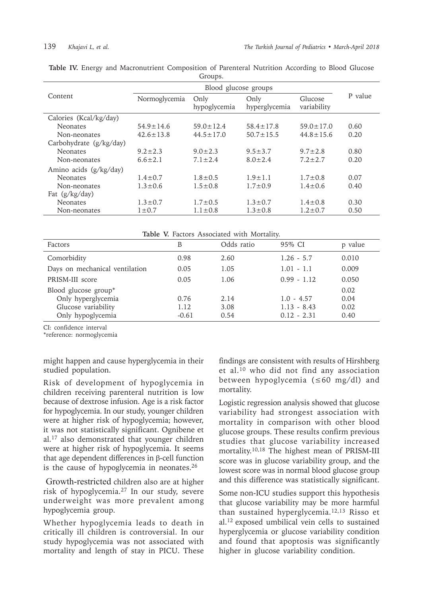| Content                   | Blood glucose groups |                      |                       |                        |         |
|---------------------------|----------------------|----------------------|-----------------------|------------------------|---------|
|                           | Normoglycemia        | Only<br>hypoglycemia | Only<br>hyperglycemia | Glucose<br>variability | P value |
| Calories (Kcal/kg/day)    |                      |                      |                       |                        |         |
| <b>Neonates</b>           | $54.9 \pm 14.6$      | $59.0 \pm 12.4$      | $58.4 \pm 17.8$       | $59.0 \pm 17.0$        | 0.60    |
| Non-neonates              | $42.6 \pm 13.8$      | $44.5 \pm 17.0$      | $50.7 \pm 15.5$       | $44.8 \pm 15.6$        | 0.20    |
| Carbohydrate $(g/kg/day)$ |                      |                      |                       |                        |         |
| <b>Neonates</b>           | $9.2 \pm 2.3$        | $9.0 \pm 2.3$        | $9.5 \pm 3.7$         | $9.7 \pm 2.8$          | 0.80    |
| Non-neonates              | $6.6 \pm 2.1$        | $7.1 \pm 2.4$        | $8.0 \pm 2.4$         | $7.2 \pm 2.7$          | 0.20    |
| Amino acids $(g/kg/day)$  |                      |                      |                       |                        |         |
| <b>Neonates</b>           | $1.4 \pm 0.7$        | $1.8 \pm 0.5$        | $1.9 + 1.1$           | $1.7 \pm 0.8$          | 0.07    |
| Non-neonates              | $1.3 \pm 0.6$        | $1.5 \pm 0.8$        | $1.7 \pm 0.9$         | $1.4 \pm 0.6$          | 0.40    |
| Fat (g/kg/day)            |                      |                      |                       |                        |         |
| <b>Neonates</b>           | $1.3 \pm 0.7$        | $1.7 \pm 0.5$        | $1.3 \pm 0.7$         | $1.4 \pm 0.8$          | 0.30    |
| Non-neonates              | $1 \pm 0.7$          | $1.1 \pm 0.8$        | $1.3 \pm 0.8$         | $1.2 \pm 0.7$          | 0.50    |

**Table IV.** Energy and Macronutrient Composition of Parenteral Nutrition According to Blood Glucose Groups.

**Table V.** Factors Associated with Mortality.

| <b>THEIR IS THERE INSERIES</b> WILL INCLUDING |         |            |               |         |  |
|-----------------------------------------------|---------|------------|---------------|---------|--|
| Factors                                       | В       | Odds ratio | 95% CI        | p value |  |
| Comorbidity                                   | 0.98    | 2.60       | $1.26 - 5.7$  | 0.010   |  |
| Days on mechanical ventilation                | 0.05    | 1.05       | $1.01 - 1.1$  | 0.009   |  |
| PRISM-III score                               | 0.05    | 1.06       | $0.99 - 1.12$ | 0.050   |  |
| Blood glucose group*                          |         |            |               | 0.02    |  |
| Only hyperglycemia                            | 0.76    | 2.14       | $1.0 - 4.57$  | 0.04    |  |
| Glucose variability                           | 1.12    | 3.08       | $1.13 - 8.43$ | 0.02    |  |
| Only hypoglycemia                             | $-0.61$ | 0.54       | $0.12 - 2.31$ | 0.40    |  |

CI: confidence interval

\*reference: normoglycemia

might happen and cause hyperglycemia in their studied population.

Risk of development of hypoglycemia in children receiving parenteral nutrition is low because of dextrose infusion. Age is a risk factor for hypoglycemia. In our study, younger children were at higher risk of hypoglycemia; however, it was not statistically significant. Ognibene et al.17 also demonstrated that younger children were at higher risk of hypoglycemia. It seems that age dependent differences in β-cell function is the cause of hypoglycemia in neonates. $26$ 

Growth-restricted children also are at higher risk of hypoglycemia.27 In our study, severe underweight was more prevalent among hypoglycemia group.

Whether hypoglycemia leads to death in critically ill children is controversial. In our study hypoglycemia was not associated with mortality and length of stay in PICU. These

findings are consistent with results of Hirshberg et al.10 who did not find any association between hypoglycemia (≤60 mg/dl) and mortality.

Logistic regression analysis showed that glucose variability had strongest association with mortality in comparison with other blood glucose groups. These results confirm previous studies that glucose variability increased mortality.10,18 The highest mean of PRISM-III score was in glucose variability group, and the lowest score was in normal blood glucose group and this difference was statistically significant.

Some non-ICU studies support this hypothesis that glucose variability may be more harmful than sustained hyperglycemia.12,13 Risso et al.12 exposed umbilical vein cells to sustained hyperglycemia or glucose variability condition and found that apoptosis was significantly higher in glucose variability condition.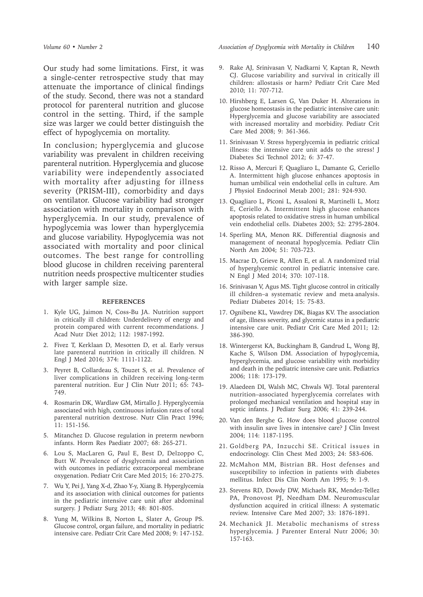Our study had some limitations. First, it was a single-center retrospective study that may attenuate the importance of clinical findings of the study. Second, there was not a standard protocol for parenteral nutrition and glucose control in the setting. Third, if the sample size was larger we could better distinguish the effect of hypoglycemia on mortality.

In conclusion; hyperglycemia and glucose variability was prevalent in children receiving parenteral nutrition. Hyperglycemia and glucose variability were independently associated with mortality after adjusting for illness severity (PRISM-III), comorbidity and days on ventilator. Glucose variability had stronger association with mortality in comparison with hyperglycemia. In our study, prevalence of hypoglycemia was lower than hyperglycemia and glucose variability. Hypoglycemia was not associated with mortality and poor clinical outcomes. The best range for controlling blood glucose in children receiving parenteral nutrition needs prospective multicenter studies with larger sample size.

#### **REFERENCES**

- 1. Kyle UG, Jaimon N, Coss-Bu JA. Nutrition support in critically ill children: Underdelivery of energy and protein compared with current recommendations. J Acad Nutr Diet 2012; 112: 1987-1992.
- 2. Fivez T, Kerklaan D, Mesotten D, et al. Early versus late parenteral nutrition in critically ill children. N Engl J Med 2016; 374: 1111-1122.
- 3. Peyret B, Collardeau S, Touzet S, et al. Prevalence of liver complications in children receiving long-term parenteral nutrition. Eur J Clin Nutr 2011; 65: 743- 749.
- 4. Rosmarin DK, Wardlaw GM, Mirtallo J. Hyperglycemia associated with high, continuous infusion rates of total parenteral nutrition dextrose. Nutr Clin Pract 1996; 11: 151-156.
- 5. Mitanchez D. Glucose regulation in preterm newborn infants. Horm Res Paediatr 2007; 68: 265-271.
- 6. Lou S, MacLaren G, Paul E, Best D, Delzoppo C, Butt W. Prevalence of dysglycemia and association with outcomes in pediatric extracorporeal membrane oxygenation. Pediatr Crit Care Med 2015; 16: 270-275.
- 7. Wu Y, Pei J, Yang X-d, Zhao Y-y, Xiang B. Hyperglycemia and its association with clinical outcomes for patients in the pediatric intensive care unit after abdominal surgery. J Pediatr Surg 2013; 48: 801-805.
- 8. Yung M, Wilkins B, Norton L, Slater A, Group PS. Glucose control, organ failure, and mortality in pediatric intensive care. Pediatr Crit Care Med 2008; 9: 147-152.

*Volume 60 • Number 2 Association of Dysglycemia with Mortality in Children* 140

- 9. Rake AJ, Srinivasan V, Nadkarni V, Kaptan R, Newth CJ. Glucose variability and survival in critically ill children: allostasis or harm? Pediatr Crit Care Med 2010; 11: 707-712.
- 10. Hirshberg E, Larsen G, Van Duker H. Alterations in glucose homeostasis in the pediatric intensive care unit: Hyperglycemia and glucose variability are associated with increased mortality and morbidity. Pediatr Crit Care Med 2008; 9: 361-366.
- 11. Srinivasan V. Stress hyperglycemia in pediatric critical illness: the intensive care unit adds to the stress! J Diabetes Sci Technol 2012; 6: 37-47.
- 12. Risso A, Mercuri F, Quagliaro L, Damante G, Ceriello A. Intermittent high glucose enhances apoptosis in human umbilical vein endothelial cells in culture. Am J Physiol Endocrinol Metab 2001; 281: 924-930.
- 13. Quagliaro L, Piconi L, Assaloni R, Martinelli L, Motz E, Ceriello A. Intermittent high glucose enhances apoptosis related to oxidative stress in human umbilical vein endothelial cells. Diabetes 2003; 52: 2795-2804.
- 14. Sperling MA, Menon RK. Differential diagnosis and management of neonatal hypoglycemia. Pediatr Clin North Am 2004; 51: 703-723.
- 15. Macrae D, Grieve R, Allen E, et al. A randomized trial of hyperglycemic control in pediatric intensive care. N Engl J Med 2014; 370: 107-118.
- 16. Srinivasan V, Agus MS. Tight glucose control in critically ill children–a systematic review and meta‐analysis. Pediatr Diabetes 2014; 15: 75-83.
- 17. Ognibene KL, Vawdrey DK, Biagas KV. The association of age, illness severity, and glycemic status in a pediatric intensive care unit. Pediatr Crit Care Med 2011; 12: 386-390.
- 18. Wintergerst KA, Buckingham B, Gandrud L, Wong BJ, Kache S, Wilson DM. Association of hypoglycemia, hyperglycemia, and glucose variability with morbidity and death in the pediatric intensive care unit. Pediatrics 2006; 118: 173-179.
- 19. Alaedeen DI, Walsh MC, Chwals WJ. Total parenteral nutrition–associated hyperglycemia correlates with prolonged mechanical ventilation and hospital stay in septic infants. J Pediatr Surg 2006; 41: 239-244.
- 20. Van den Berghe G. How does blood glucose control with insulin save lives in intensive care? J Clin Invest 2004; 114: 1187-1195.
- 21. Goldberg PA, Inzucchi SE. Critical issues in endocrinology. Clin Chest Med 2003; 24: 583-606.
- 22. McMahon MM, Bistrian BR. Host defenses and susceptibility to infection in patients with diabetes mellitus. Infect Dis Clin North Am 1995; 9: 1-9.
- 23. Stevens RD, Dowdy DW, Michaels RK, Mendez-Tellez PA, Pronovost PJ, Needham DM. Neuromuscular dysfunction acquired in critical illness: A systematic review. Intensive Care Med 2007; 33: 1876-1891.
- 24. Mechanick JI. Metabolic mechanisms of stress hyperglycemia. J Parenter Enteral Nutr 2006; 30: 157-163.